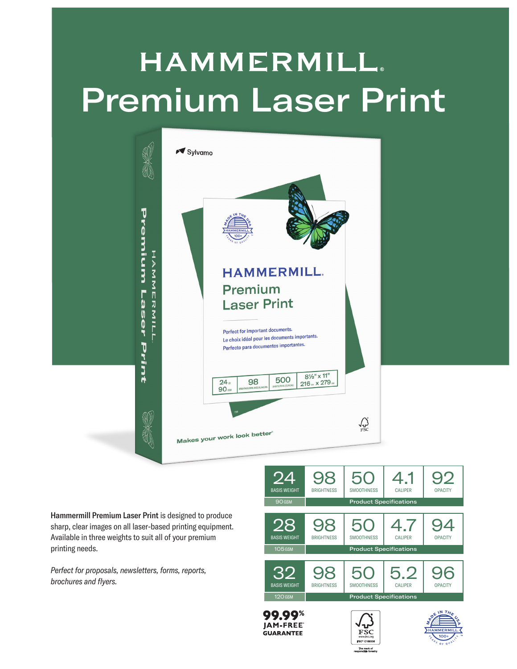## **HAMMERMILL.** Premium Laser Print



Hammermill Premium Laser Print is designed to produce sharp, clear images on all laser-based printing equipment. Available in three weights to suit all of your premium printing needs.

*Perfect for proposals, newsletters, forms, reports, brochures and flyers.*